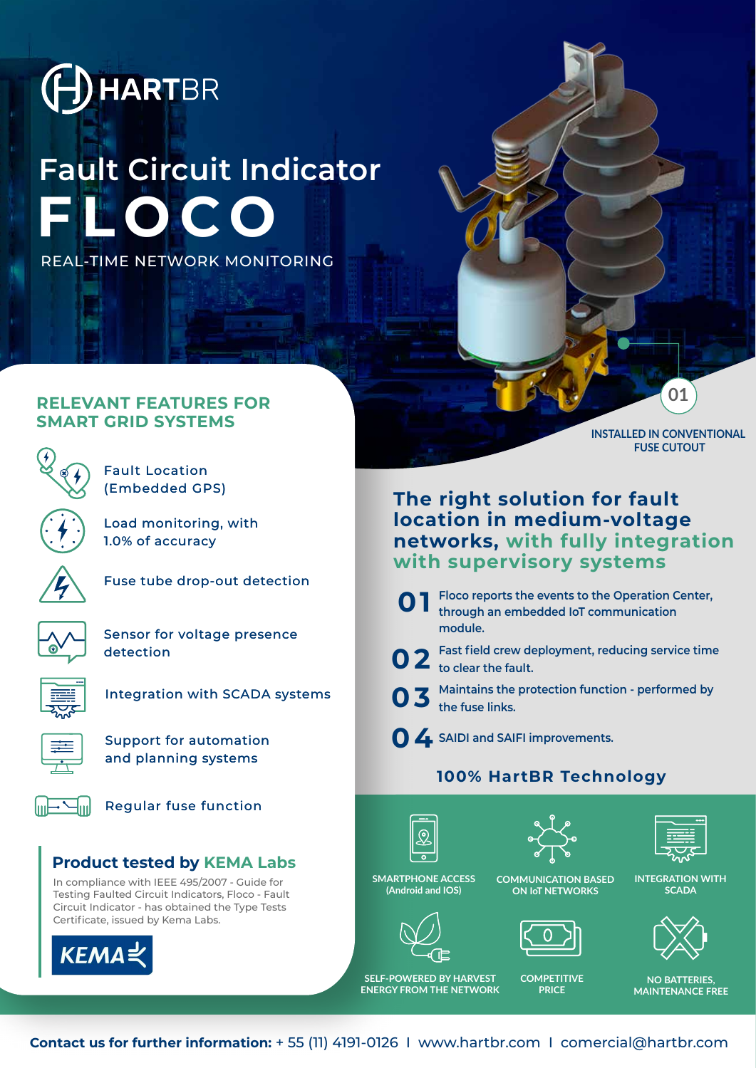

# **FLOCO Fault Circuit Indicator**

REAL-TIME NETWORK MONITORING

#### **RELEVANT FEATURES FOR SMART GRID SYSTEMS**



Fault Location (Embedded GPS)

Load monitoring, with 1.0% of accuracy



Fuse tube drop-out detection

Sensor for voltage presence detection



Integration with SCADA systems



Support for automation and planning systems



Regular fuse function

### **Product tested by KEMA Labs**

In compliance with IEEE 495/2007 - Guide for Testing Faulted Circuit Indicators, Floco - Fault Circuit Indicator - has obtained the Type Tests Certificate, issued by Kema Labs.



**The right solution for fault location in medium-voltage networks, with fully integration** 

**O 1** Floco reports the events to the Operation Center, through an embedded loT communication **through an embedded IoT communication module.**

**with supervisory systems**

**Fast field crew deployment, reducing service time 02 to clear the fault.**

**Maintains the protection function - performed by 03 the fuse links.**

**04 SAIDI and SAIFI improvements.**

# **100% HartBR Technology**







**SMARTPHONE ACCESS (Android and IOS)**



**SELF-POWERED BY HARVEST ENERGY FROM THE NETWORK**





**COMPETITIVE PRICE**

**01**

**INSTALLED IN CONVENTIONAL FUSE CUTOUT**

**INTEGRATION WITH SCADA**



**NO BATTERIES, MAINTENANCE FREE**

**Contact us for further information:** + 55 (11) 4191-0126 I www.hartbr.com I comercial@hartbr.com